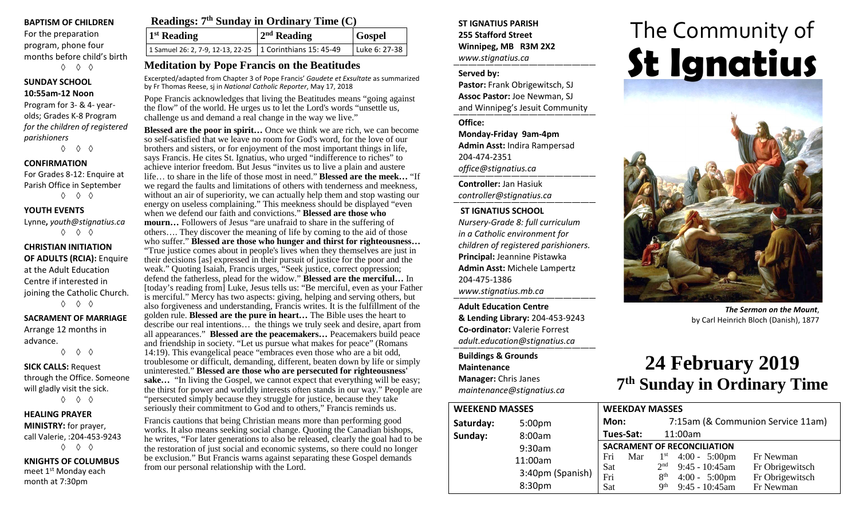#### **BAPTISM OF CHILDREN**

For the preparation program, phone four months before child's birth ◊ ◊ ◊

#### **SUNDAY SCHOOL 10:55am-12 Noon**

Program for 3- & 4- yearolds; Grades K-8 Program *for the children of registered parishioners*

◊ ◊ ◊

#### **CONFIRMATION**

For Grades 8-12: Enquire at Parish Office in September ◊ ◊ ◊

#### **YOUTH EVENTS**

Lynne**,** *youth@stignatius.ca* ◊ ◊ ◊

**CHRISTIAN INITIATION OF ADULTS (RCIA):** Enquire at the Adult Education Centre if interested in joining the Catholic Church. ◊ ◊ ◊

#### **SACRAMENT OF MARRIAGE**

Arrange 12 months in advance. ◊ ◊ ◊

**SICK CALLS:** Request through the Office. Someone will gladly visit the sick. ◊ ◊ ◊

#### **HEALING PRAYER**

**MINISTRY:** for prayer, call Valerie, :204-453-9243 ◊ ◊ ◊

**KNIGHTS OF COLUMBUS** meet 1<sup>st</sup> Monday each month at 7:30pm

## **Readings: 7th Sunday in Ordinary Time (C)**

**1st Reading 2nd Reading Gospel** 1 Samuel 26: 2, 7-9, 12-13, 22-25 1 Corinthians 15: 45-49 Luke 6: 27-38

#### **Meditation by Pope Francis on the Beatitudes**

Excerpted/adapted from Chapter 3 of Pope Francis' *Gaudete et Exsultate* as summarized by Fr Thomas Reese, sj in *National Catholic Reporter*, May 17, 2018

Pope Francis acknowledges that living the Beatitudes means "going against the flow" of the world. He urges us to let the Lord's words "unsettle us, challenge us and demand a real change in the way we live."

**Blessed are the poor in spirit…** Once we think we are rich, we can become so self-satisfied that we leave no room for God's word, for the love of our brothers and sisters, or for enjoyment of the most important things in life, says Francis. He cites St. Ignatius, who urged "indifference to riches" to achieve interior freedom. But Jesus "invites us to live a plain and austere life… to share in the life of those most in need." **Blessed are the meek…** "If we regard the faults and limitations of others with tenderness and meekness, without an air of superiority, we can actually help them and stop wasting our energy on useless complaining." This meekness should be displayed "even when we defend our faith and convictions." **Blessed are those who mourn…** Followers of Jesus "are unafraid to share in the suffering of others…. They discover the meaning of life by coming to the aid of those who suffer." **Blessed are those who hunger and thirst for righteousness…**  "True justice comes about in people's lives when they themselves are just in their decisions [as] expressed in their pursuit of justice for the poor and the weak." Quoting Isaiah, Francis urges, "Seek justice, correct oppression; defend the fatherless, plead for the widow." **Blessed are the merciful…** In [today's reading from] Luke, Jesus tells us: "Be merciful, even as your Father is merciful." Mercy has two aspects: giving, helping and serving others, but also forgiveness and understanding, Francis writes. It is the fulfillment of the golden rule. **Blessed are the pure in heart…** The Bible uses the heart to describe our real intentions… the things we truly seek and desire, apart from all appearances." **Blessed are the peacemakers…** Peacemakers build peace and friendship in society. "Let us pursue what makes for peace" (Romans 14:19). This evangelical peace "embraces even those who are a bit odd, troublesome or difficult, demanding, different, beaten down by life or simply uninterested." **Blessed are those who are persecuted for righteousness'** sake... "In living the Gospel, we cannot expect that everything will be easy; the thirst for power and worldly interests often stands in our way." People are "persecuted simply because they struggle for justice, because they take seriously their commitment to God and to others," Francis reminds us.

Francis cautions that being Christian means more than performing good works. It also means seeking social change. Quoting the Canadian bishops, he writes, "For later generations to also be released, clearly the goal had to be the restoration of just social and economic systems, so there could no longer be exclusion." But Francis warns against separating these Gospel demands from our personal relationship with the Lord.

#### **ST IGNATIUS PARISH 255 Stafford Street Winnipeg, MB R3M 2X2** *www.stignatius.ca*

#### **Served by:**

**Pastor:** Frank Obrigewitsch, SJ **Assoc Pastor:** Joe Newman, SJ and Winnipeg's Jesuit Community

#### **Office:**

**Monday-Friday 9am-4pm Admin Asst:** Indira Rampersad 204-474-2351 *office@stignatius.ca*

**Controller:** Jan Hasiuk *controller@stignatius.ca*

#### **ST IGNATIUS SCHOOL**

*Nursery-Grade 8: full curriculum in a Catholic environment for children of registered parishioners.* **Principal:** Jeannine Pistawka **Admin Asst:** Michele Lampertz 204-475-1386 *www.stignatius.mb.ca*

**Adult Education Centre & Lending Library:** 204-453-9243 **Co-ordinator:** Valerie Forrest *adult.education@stignatius.ca*

#### **Buildings & Grounds Maintenance Manager:** Chris Janes *maintenance@stignatius.ca*

# The Community of **St Ignatius**



*The Sermon on the Mount*, by Carl Heinrich Bloch (Danish), 1877

# **24 February 2019 7th Sunday in Ordinary Time**

| <b>WEEKEND MASSES</b> |                    | <b>WEEKDAY MASSES</b>              |           |                                    |                         |                                              |                                    |
|-----------------------|--------------------|------------------------------------|-----------|------------------------------------|-------------------------|----------------------------------------------|------------------------------------|
| Saturday:             | 5:00 <sub>pm</sub> | Mon:                               |           |                                    |                         |                                              | 7:15am (& Communion Service 11am)  |
| Sunday:               | 8:00am             |                                    | Tues-Sat: |                                    | 11:00am                 |                                              |                                    |
|                       | 9:30am             | <b>SACRAMENT OF RECONCILIATION</b> |           |                                    |                         |                                              |                                    |
|                       | 11:00am            | Fri                                | Mar       | $1^{\rm st}$                       | $4:00 - 5:00 \text{pm}$ |                                              | Fr Newman                          |
|                       | 3:40pm (Spanish)   | Sat<br>Fri                         |           | 2 <sup>nd</sup><br>8 <sup>th</sup> |                         | $9:45 - 10:45$ am<br>$4:00 - 5:00 \text{pm}$ | Fr Obrigewitsch<br>Fr Obrigewitsch |
|                       | 8:30pm             | Sat                                |           | $\mathbf{Q}^{\text{th}}$           |                         | $9:45 - 10:45$ am                            | Fr Newman                          |